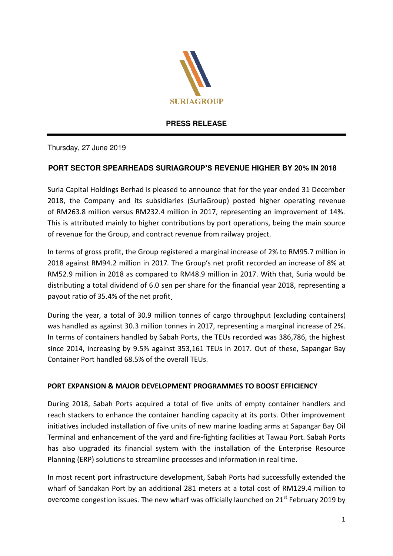

## **PRESS RELEASE**

Thursday, 27 June 2019

# **PORT SECTOR SPEARHEADS SURIAGROUP'S REVENUE HIGHER BY 20% IN 2018**

Suria Capital Holdings Berhad is pleased to announce that for the year ended 31 December 2018, the Company and its subsidiaries (SuriaGroup) posted higher operating revenue of RM263.8 million versus RM232.4 million in 2017, representing an improvement of 14%. This is attributed mainly to higher contributions by port operations, being the main source of revenue for the Group, and contract revenue from railway project.

In terms of gross profit, the Group registered a marginal increase of 2% to RM95.7 million in 2018 against RM94.2 million in 2017. The Group's net profit recorded an increase of 8% at RM52.9 million in 2018 as compared to RM48.9 million in 2017. With that, Suria would be distributing a total dividend of 6.0 sen per share for the financial year 2018, representing a payout ratio of 35.4% of the net profit.

During the year, a total of 30.9 million tonnes of cargo throughput (excluding containers) was handled as against 30.3 million tonnes in 2017, representing a marginal increase of 2%. In terms of containers handled by Sabah Ports, the TEUs recorded was 386,786, the highest since 2014, increasing by 9.5% against 353,161 TEUs in 2017. Out of these, Sapangar Bay Container Port handled 68.5% of the overall TEUs.

## **PORT EXPANSION & MAJOR DEVELOPMENT PROGRAMMES TO BOOST EFFICIENCY**

During 2018, Sabah Ports acquired a total of five units of empty container handlers and reach stackers to enhance the container handling capacity at its ports. Other improvement initiatives included installation of five units of new marine loading arms at Sapangar Bay Oil Terminal and enhancement of the yard and fire-fighting facilities at Tawau Port. Sabah Ports has also upgraded its financial system with the installation of the Enterprise Resource Planning (ERP) solutions to streamline processes and information in real time.

In most recent port infrastructure development, Sabah Ports had successfully extended the wharf of Sandakan Port by an additional 281 meters at a total cost of RM129.4 million to overcome congestion issues. The new wharf was officially launched on  $21<sup>st</sup>$  February 2019 by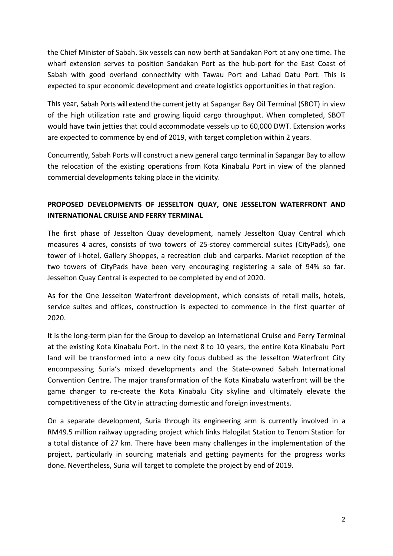the Chief Minister of Sabah. Six vessels can now berth at Sandakan Port at any one time. The wharf extension serves to position Sandakan Port as the hub-port for the East Coast of Sabah with good overland connectivity with Tawau Port and Lahad Datu Port. This is expected to spur economic development and create logistics opportunities in that region.

This year, Sabah Ports will extend the current jetty at Sapangar Bay Oil Terminal (SBOT) in view of the high utilization rate and growing liquid cargo throughput. When completed, SBOT would have twin jetties that could accommodate vessels up to 60,000 DWT. Extension works are expected to commence by end of 2019, with target completion within 2 years.

Concurrently, Sabah Ports will construct a new general cargo terminal in Sapangar Bay to allow the relocation of the existing operations from Kota Kinabalu Port in view of the planned commercial developments taking place in the vicinity.

# **PROPOSED DEVELOPMENTS OF JESSELTON QUAY, ONE JESSELTON WATERFRONT AND INTERNATIONAL CRUISE AND FERRY TERMINAL**

The first phase of Jesselton Quay development, namely Jesselton Quay Central which measures 4 acres, consists of two towers of 25-storey commercial suites (CityPads), one tower of i-hotel, Gallery Shoppes, a recreation club and carparks. Market reception of the two towers of CityPads have been very encouraging registering a sale of 94% so far. Jesselton Quay Central is expected to be completed by end of 2020.

As for the One Jesselton Waterfront development, which consists of retail malls, hotels, service suites and offices, construction is expected to commence in the first quarter of 2020.

It is the long-term plan for the Group to develop an International Cruise and Ferry Terminal at the existing Kota Kinabalu Port. In the next 8 to 10 years, the entire Kota Kinabalu Port land will be transformed into a new city focus dubbed as the Jesselton Waterfront City encompassing Suria's mixed developments and the State-owned Sabah International Convention Centre. The major transformation of the Kota Kinabalu waterfront will be the game changer to re-create the Kota Kinabalu City skyline and ultimately elevate the competitiveness of the City in attracting domestic and foreign investments.

On a separate development, Suria through its engineering arm is currently involved in a RM49.5 million railway upgrading project which links Halogilat Station to Tenom Station for a total distance of 27 km. There have been many challenges in the implementation of the project, particularly in sourcing materials and getting payments for the progress works done. Nevertheless, Suria will target to complete the project by end of 2019.